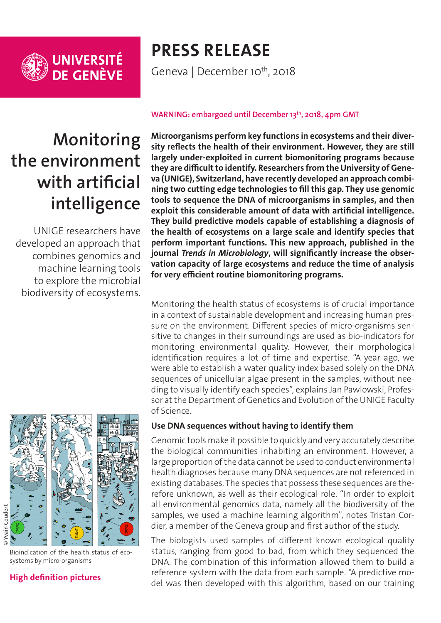

# **PRESS RELEASE**

Geneva | December 10<sup>th</sup>, 2018

# **Monitoring the environment with artificial intelligence**

UNIGE researchers have developed an approach that combines genomics and machine learning tools to explore the microbial biodiversity of ecosystems.



Bioindication of the health status of ecosystems by micro-organisms

## **[High definition pictures](https://phototheque.unige.ch/documents/facets?newFacet=mot.cle.marc%3DCdP_181210_Pawlowski&clearFacets=1)**

#### WARNING: embargoed until December 13<sup>th</sup>, 2018, 4pm GMT

**Microorganisms perform key functions in ecosystems and their diversity reflects the health of their environment. However, they are still largely under-exploited in current biomonitoring programs because they are difficult to identify. Researchers from the University of Geneva (UNIGE), Switzerland, have recently developed an approach combining two cutting edge technologies to fill this gap. They use genomic tools to sequence the DNA of microorganisms in samples, and then exploit this considerable amount of data with artificial intelligence. They build predictive models capable of establishing a diagnosis of the health of ecosystems on a large scale and identify species that perform important functions. This new approach, published in the journal** *Trends in Microbiology***, will significantly increase the observation capacity of large ecosystems and reduce the time of analysis for very efficient routine biomonitoring programs.**

Monitoring the health status of ecosystems is of crucial importance in a context of sustainable development and increasing human pressure on the environment. Different species of micro-organisms sensitive to changes in their surroundings are used as bio-indicators for monitoring environmental quality. However, their morphological identification requires a lot of time and expertise. "A year ago, we were able to establish a water quality index based solely on the DNA sequences of unicellular algae present in the samples, without needing to visually identify each species", explains Jan Pawlowski, Professor at the Department of Genetics and Evolution of the UNIGE Faculty of Science.

## **Use DNA sequences without having to identify them**

Genomic tools make it possible to quickly and very accurately describe the biological communities inhabiting an environment. However, a large proportion of the data cannot be used to conduct environmental health diagnoses because many DNA sequences are not referenced in existing databases. The species that possess these sequences are therefore unknown, as well as their ecological role. "In order to exploit all environmental genomics data, namely all the biodiversity of the samples, we used a machine learning algorithm", notes Tristan Cordier, a member of the Geneva group and first author of the study.

The biologists used samples of different known ecological quality status, ranging from good to bad, from which they sequenced the DNA. The combination of this information allowed them to build a reference system with the data from each sample. "A predictive model was then developed with this algorithm, based on our training